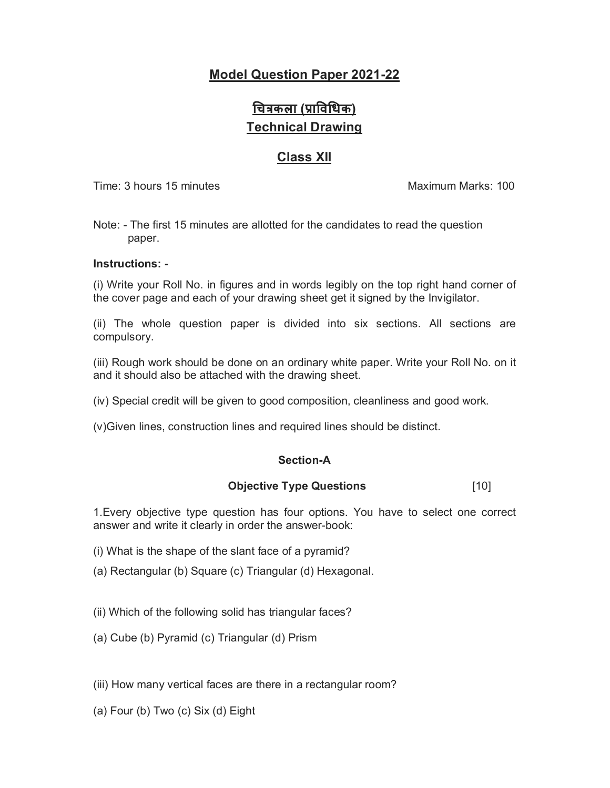## **Model Question Paper 2021-22**

# **ͬचğकला (Ĥाͪवͬधक) Technical Drawing**

## **Class XII**

Time: 3 hours 15 minutes Maximum Marks: 100

Note: - The first 15 minutes are allotted for the candidates to read the question paper.

## **Instructions: -**

(i) Write your Roll No. in figures and in words legibly on the top right hand corner of the cover page and each of your drawing sheet get it signed by the Invigilator.

(ii) The whole question paper is divided into six sections. All sections are compulsory.

(iii) Rough work should be done on an ordinary white paper. Write your Roll No. on it and it should also be attached with the drawing sheet.

(iv) Special credit will be given to good composition, cleanliness and good work.

(v)Given lines, construction lines and required lines should be distinct.

## **Section-A**

## **Objective Type Questions** [10]

1.Every objective type question has four options. You have to select one correct answer and write it clearly in order the answer-book:

- (i) What is the shape of the slant face of a pyramid?
- (a) Rectangular (b) Square (c) Triangular (d) Hexagonal.
- (ii) Which of the following solid has triangular faces?
- (a) Cube (b) Pyramid (c) Triangular (d) Prism

(iii) How many vertical faces are there in a rectangular room?

(a) Four (b) Two (c) Six (d) Eight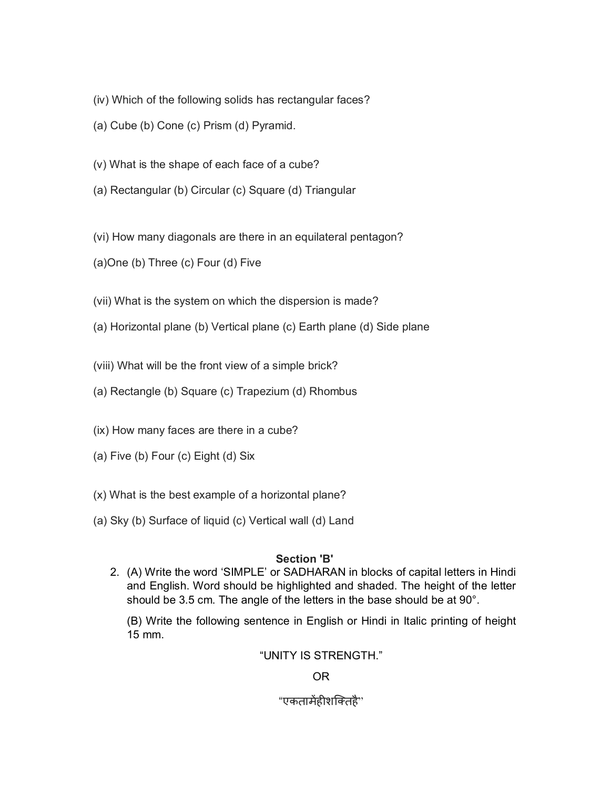- (iv) Which of the following solids has rectangular faces?
- (a) Cube (b) Cone (c) Prism (d) Pyramid.
- (v) What is the shape of each face of a cube?
- (a) Rectangular (b) Circular (c) Square (d) Triangular
- (vi) How many diagonals are there in an equilateral pentagon?
- (a)One (b) Three (c) Four (d) Five
- (vii) What is the system on which the dispersion is made?
- (a) Horizontal plane (b) Vertical plane (c) Earth plane (d) Side plane
- (viii) What will be the front view of a simple brick?
- (a) Rectangle (b) Square (c) Trapezium (d) Rhombus
- (ix) How many faces are there in a cube?
- (a) Five (b) Four (c) Eight (d) Six
- (x) What is the best example of a horizontal plane?
- (a) Sky (b) Surface of liquid (c) Vertical wall (d) Land

## **Section 'B'**

2. (A) Write the word 'SIMPLE' or SADHARAN in blocks of capital letters in Hindi and English. Word should be highlighted and shaded. The height of the letter should be 3.5 cm. The angle of the letters in the base should be at 90°.

(B) Write the following sentence in English or Hindi in Italic printing of height 15 mm.

## "UNITY IS STRENGTH."

## OR

## "एकतामेंहीशक्तिहै"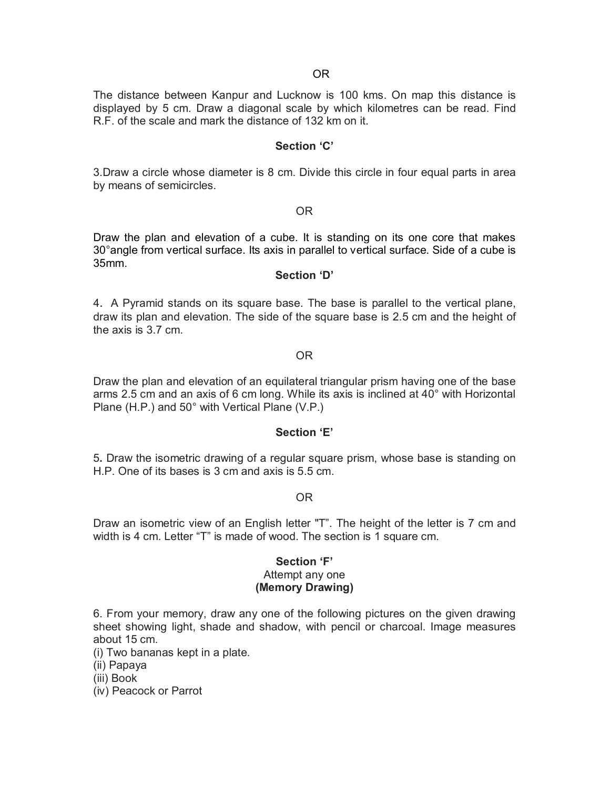The distance between Kanpur and Lucknow is 100 kms. On map this distance is displayed by 5 cm. Draw a diagonal scale by which kilometres can be read. Find R.F. of the scale and mark the distance of 132 km on it.

#### **Section 'C'**

3.Draw a circle whose diameter is 8 cm. Divide this circle in four equal parts in area by means of semicircles.

#### OR

Draw the plan and elevation of a cube. It is standing on its one core that makes 30°angle from vertical surface. Its axis in parallel to vertical surface. Side of a cube is 35mm.

#### **Section 'D'**

4. A Pyramid stands on its square base. The base is parallel to the vertical plane, draw its plan and elevation. The side of the square base is 2.5 cm and the height of the axis is 3.7 cm.

#### OR

Draw the plan and elevation of an equilateral triangular prism having one of the base arms 2.5 cm and an axis of 6 cm long. While its axis is inclined at 40° with Horizontal Plane (H.P.) and 50° with Vertical Plane (V.P.)

#### **Section 'E'**

5**.** Draw the isometric drawing of a regular square prism, whose base is standing on H.P. One of its bases is 3 cm and axis is 5.5 cm.

OR

Draw an isometric view of an English letter "T". The height of the letter is 7 cm and width is 4 cm. Letter "T" is made of wood. The section is 1 square cm.

#### **Section 'F'** Attempt any one **(Memory Drawing)**

6. From your memory, draw any one of the following pictures on the given drawing sheet showing light, shade and shadow, with pencil or charcoal. Image measures about 15 cm.

(i) Two bananas kept in a plate.

(ii) Papaya

(iii) Book

(iv) Peacock or Parrot